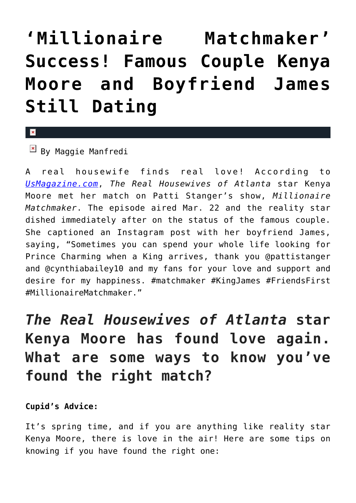## **['Millionaire Matchmaker'](https://cupidspulse.com/89402/millionaire-matchmaker-famous-couple-kenya-moore-boyfriend-still-dating/) [Success! Famous Couple Kenya](https://cupidspulse.com/89402/millionaire-matchmaker-famous-couple-kenya-moore-boyfriend-still-dating/) [Moore and Boyfriend James](https://cupidspulse.com/89402/millionaire-matchmaker-famous-couple-kenya-moore-boyfriend-still-dating/) [Still Dating](https://cupidspulse.com/89402/millionaire-matchmaker-famous-couple-kenya-moore-boyfriend-still-dating/)**

## $\vert \mathbf{x} \vert$

 $\overline{\mathbb{F}}$  By Maggie Manfredi

A real housewife finds real love! According to *[UsMagazine.com](http://www.usmagazine.com/entertainment/news/kenya-moore-is-still-dating-james-from-millionaire-matchmaker-2015233)*, *The Real Housewives of Atlanta* star Kenya Moore met her match on Patti Stanger's show, *Millionaire Matchmaker*. The episode aired Mar. 22 and the reality star dished immediately after on the status of the famous couple. She captioned an Instagram post with her boyfriend James, saying, "Sometimes you can spend your whole life looking for Prince Charming when a King arrives, thank you @pattistanger and @cynthiabailey10 and my fans for your love and support and desire for my happiness. #matchmaker #KingJames #FriendsFirst #MillionaireMatchmaker."

## *The Real Housewives of Atlanta* **star Kenya Moore has found love again. What are some ways to know you've found the right match?**

## **Cupid's Advice:**

It's spring time, and if you are anything like reality star Kenya Moore, there is love in the air! Here are some tips on knowing if you have found the right one: